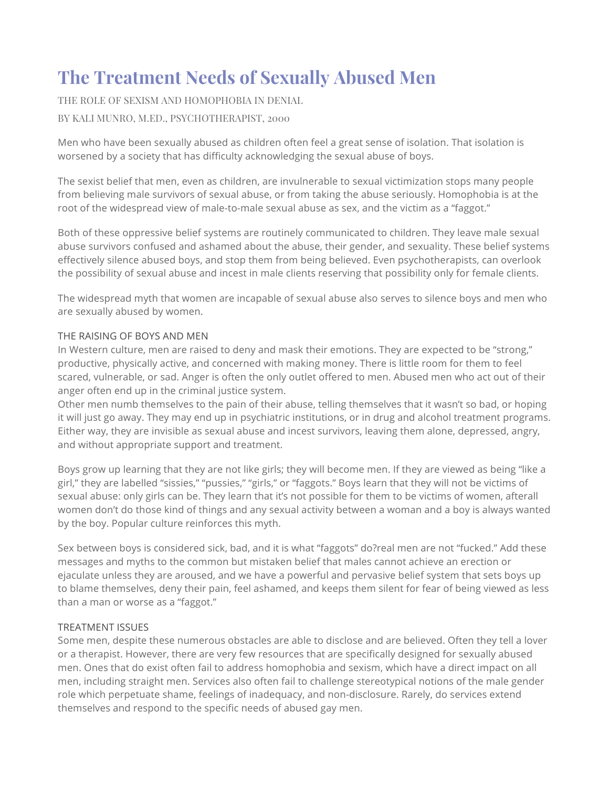## **The Treatment Needs of Sexually Abused Men**

THE ROLE OF SEXISM AND HOMOPHOBIA IN DENIAL

BY KALI MUNRO, M.ED., PSYCHOTHERAPIST, 2000

Men who have been sexually abused as children often feel a great sense of isolation. That isolation is worsened by a society that has difficulty acknowledging the sexual abuse of boys.

The sexist belief that men, even as children, are invulnerable to sexual victimization stops many people from believing male survivors of sexual abuse, or from taking the abuse seriously. Homophobia is at the root of the widespread view of male-to-male sexual abuse as sex, and the victim as a "faggot."

Both of these oppressive belief systems are routinely communicated to children. They leave male sexual abuse survivors confused and ashamed about the abuse, their gender, and sexuality. These belief systems effectively silence abused boys, and stop them from being believed. Even psychotherapists, can overlook the possibility of sexual abuse and incest in male clients reserving that possibility only for female clients.

The widespread myth that women are incapable of sexual abuse also serves to silence boys and men who are sexually abused by women.

## THE RAISING OF BOYS AND MEN

In Western culture, men are raised to deny and mask their emotions. They are expected to be "strong," productive, physically active, and concerned with making money. There is little room for them to feel scared, vulnerable, or sad. Anger is often the only outlet offered to men. Abused men who act out of their anger often end up in the criminal justice system.

Other men numb themselves to the pain of their abuse, telling themselves that it wasn't so bad, or hoping it will just go away. They may end up in psychiatric institutions, or in drug and alcohol treatment programs. Either way, they are invisible as sexual abuse and incest survivors, leaving them alone, depressed, angry, and without appropriate support and treatment.

Boys grow up learning that they are not like girls; they will become men. If they are viewed as being "like a girl," they are labelled "sissies," "pussies," "girls," or "faggots." Boys learn that they will not be victims of sexual abuse: only girls can be. They learn that it's not possible for them to be victims of women, afterall women don't do those kind of things and any sexual activity between a woman and a boy is always wanted by the boy. Popular culture reinforces this myth.

Sex between boys is considered sick, bad, and it is what "faggots" do?real men are not "fucked." Add these messages and myths to the common but mistaken belief that males cannot achieve an erection or ejaculate unless they are aroused, and we have a powerful and pervasive belief system that sets boys up to blame themselves, deny their pain, feel ashamed, and keeps them silent for fear of being viewed as less than a man or worse as a "faggot."

## TREATMENT ISSUES

Some men, despite these numerous obstacles are able to disclose and are believed. Often they tell a lover or a therapist. However, there are very few resources that are specifically designed for sexually abused men. Ones that do exist often fail to address homophobia and sexism, which have a direct impact on all men, including straight men. Services also often fail to challenge stereotypical notions of the male gender role which perpetuate shame, feelings of inadequacy, and non-disclosure. Rarely, do services extend themselves and respond to the specific needs of abused gay men.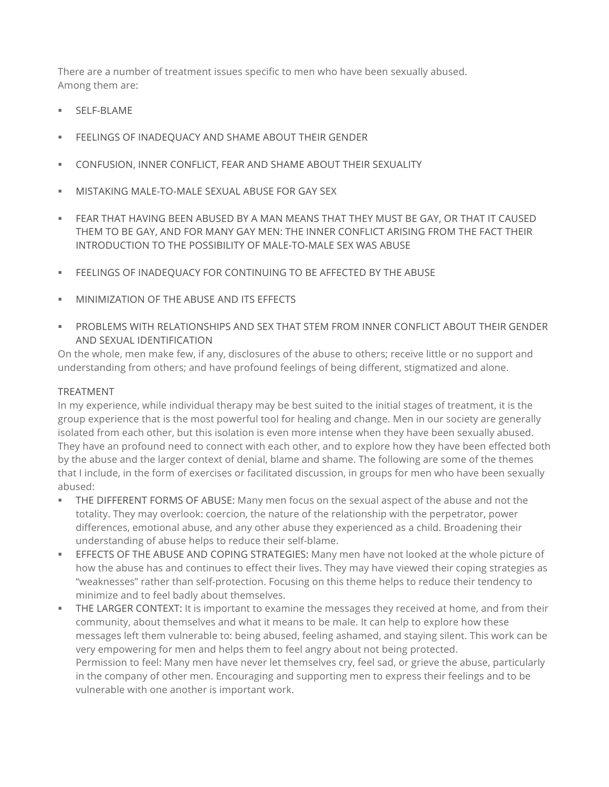There are a number of treatment issues specific to men who have been sexually abused. Among them are:

- § SELF-BLAME
- **EFELINGS OF INADEQUACY AND SHAME ABOUT THEIR GENDER**
- § CONFUSION, INNER CONFLICT, FEAR AND SHAME ABOUT THEIR SEXUALITY
- **EXECTS MISTAKING MALE-TO-MALE SEXUAL ABUSE FOR GAY SEX**
- § FEAR THAT HAVING BEEN ABUSED BY A MAN MEANS THAT THEY MUST BE GAY, OR THAT IT CAUSED THEM TO BE GAY, AND FOR MANY GAY MEN: THE INNER CONFLICT ARISING FROM THE FACT THEIR INTRODUCTION TO THE POSSIBILITY OF MALE-TO-MALE SEX WAS ABUSE
- § FEELINGS OF INADEQUACY FOR CONTINUING TO BE AFFECTED BY THE ABUSE
- **EXECUTE MINIMIZATION OF THE ABUSE AND ITS FEFECTS**
- § PROBLEMS WITH RELATIONSHIPS AND SEX THAT STEM FROM INNER CONFLICT ABOUT THEIR GENDER AND SEXUAL IDENTIFICATION

On the whole, men make few, if any, disclosures of the abuse to others; receive little or no support and understanding from others; and have profound feelings of being different, stigmatized and alone.

## TREATMENT

In my experience, while individual therapy may be best suited to the initial stages of treatment, it is the group experience that is the most powerful tool for healing and change. Men in our society are generally isolated from each other, but this isolation is even more intense when they have been sexually abused. They have an profound need to connect with each other, and to explore how they have been effected both by the abuse and the larger context of denial, blame and shame. The following are some of the themes that I include, in the form of exercises or facilitated discussion, in groups for men who have been sexually abused:

- § THE DIFFERENT FORMS OF ABUSE: Many men focus on the sexual aspect of the abuse and not the totality. They may overlook: coercion, the nature of the relationship with the perpetrator, power differences, emotional abuse, and any other abuse they experienced as a child. Broadening their understanding of abuse helps to reduce their self-blame.
- § EFFECTS OF THE ABUSE AND COPING STRATEGIES: Many men have not looked at the whole picture of how the abuse has and continues to effect their lives. They may have viewed their coping strategies as "weaknesses" rather than self-protection. Focusing on this theme helps to reduce their tendency to minimize and to feel badly about themselves.
- § THE LARGER CONTEXT: It is important to examine the messages they received at home, and from their community, about themselves and what it means to be male. It can help to explore how these messages left them vulnerable to: being abused, feeling ashamed, and staying silent. This work can be very empowering for men and helps them to feel angry about not being protected. Permission to feel: Many men have never let themselves cry, feel sad, or grieve the abuse, particularly in the company of other men. Encouraging and supporting men to express their feelings and to be vulnerable with one another is important work.